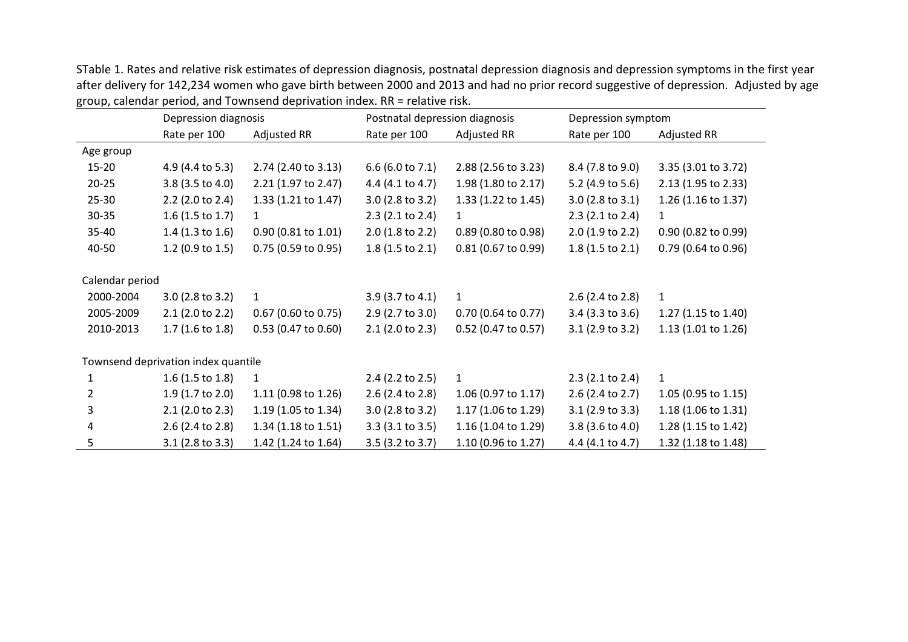STable 1. Rates and relative risk estimates of depression diagnosis, postnatal depression diagnosis and depression symptoms in the first year after delivery for 142,234 women who gave birth between 2000 and 2013 and had no prior record suggestive of depression. Adjusted by age group, calendar period, and Townsend deprivation index. RR = relative risk.

|                                     | Depression diagnosis       |                               | Postnatal depression diagnosis |                       | Depression symptom         |                     |
|-------------------------------------|----------------------------|-------------------------------|--------------------------------|-----------------------|----------------------------|---------------------|
|                                     | Rate per 100               | Adjusted RR                   | Rate per 100                   | <b>Adjusted RR</b>    | Rate per 100               | Adjusted RR         |
| Age group                           |                            |                               |                                |                       |                            |                     |
| $15 - 20$                           | 4.9 (4.4 to 5.3)           | 2.74 (2.40 to 3.13)           | $6.6$ (6.0 to 7.1)             | 2.88 (2.56 to 3.23)   | 8.4 (7.8 to 9.0)           | 3.35 (3.01 to 3.72) |
| $20 - 25$                           | 3.8 (3.5 to 4.0)           | 2.21 (1.97 to 2.47)           | 4.4 (4.1 to 4.7)               | 1.98 (1.80 to 2.17)   | 5.2 (4.9 to 5.6)           | 2.13 (1.95 to 2.33) |
| $25 - 30$                           | 2.2 (2.0 to 2.4)           | 1.33 (1.21 to 1.47)           | $3.0$ (2.8 to 3.2)             | 1.33 (1.22 to 1.45)   | $3.0$ (2.8 to 3.1)         | 1.26 (1.16 to 1.37) |
| $30 - 35$                           | $1.6$ (1.5 to 1.7)         | $\mathbf{1}$                  | $2.3$ (2.1 to 2.4)             | $\mathbf{1}$          | $2.3$ (2.1 to 2.4)         | $\mathbf{1}$        |
| 35-40                               | 1.4 $(1.3 to 1.6)$         | $0.90(0.81 \text{ to } 1.01)$ | $2.0$ (1.8 to 2.2)             | $0.89$ (0.80 to 0.98) | $2.0$ (1.9 to 2.2)         | 0.90 (0.82 to 0.99) |
| 40-50                               | 1.2 (0.9 to 1.5)           | $0.75$ (0.59 to 0.95)         | $1.8(1.5 \text{ to } 2.1)$     | 0.81 (0.67 to 0.99)   | $1.8(1.5 \text{ to } 2.1)$ | 0.79 (0.64 to 0.96) |
|                                     |                            |                               |                                |                       |                            |                     |
| Calendar period                     |                            |                               |                                |                       |                            |                     |
| 2000-2004                           | $3.0$ (2.8 to 3.2)         | $\mathbf{1}$                  | $3.9$ (3.7 to 4.1)             | $\mathbf{1}$          | $2.6$ (2.4 to 2.8)         | $\mathbf{1}$        |
| 2005-2009                           | $2.1$ (2.0 to 2.2)         | $0.67$ (0.60 to 0.75)         | $2.9$ (2.7 to 3.0)             | 0.70 (0.64 to 0.77)   | $3.4$ (3.3 to 3.6)         | 1.27 (1.15 to 1.40) |
| 2010-2013                           | $1.7(1.6 \text{ to } 1.8)$ | $0.53$ (0.47 to 0.60)         | $2.1$ (2.0 to 2.3)             | 0.52 (0.47 to 0.57)   | $3.1$ (2.9 to 3.2)         | 1.13 (1.01 to 1.26) |
|                                     |                            |                               |                                |                       |                            |                     |
| Townsend deprivation index quantile |                            |                               |                                |                       |                            |                     |
| 1                                   | $1.6$ (1.5 to 1.8)         | $\mathbf{1}$                  | $2.4$ (2.2 to 2.5)             | $\mathbf{1}$          | $2.3$ (2.1 to 2.4)         | $\mathbf{1}$        |
| $\overline{2}$                      | 1.9 (1.7 to 2.0)           | 1.11 (0.98 to 1.26)           | $2.6$ (2.4 to 2.8)             | 1.06 (0.97 to 1.17)   | $2.6$ (2.4 to 2.7)         | 1.05 (0.95 to 1.15) |
| 3                                   | $2.1$ (2.0 to 2.3)         | 1.19 (1.05 to 1.34)           | $3.0$ (2.8 to 3.2)             | 1.17 (1.06 to 1.29)   | $3.1$ (2.9 to 3.3)         | 1.18 (1.06 to 1.31) |
| 4                                   | 2.6 (2.4 to 2.8)           | 1.34 (1.18 to 1.51)           | $3.3$ (3.1 to 3.5)             | 1.16 (1.04 to 1.29)   | $3.8$ (3.6 to 4.0)         | 1.28 (1.15 to 1.42) |
| 5                                   | $3.1$ (2.8 to 3.3)         | 1.42 (1.24 to 1.64)           | $3.5$ (3.2 to 3.7)             | 1.10 (0.96 to 1.27)   | 4.4 $(4.1 to 4.7)$         | 1.32 (1.18 to 1.48) |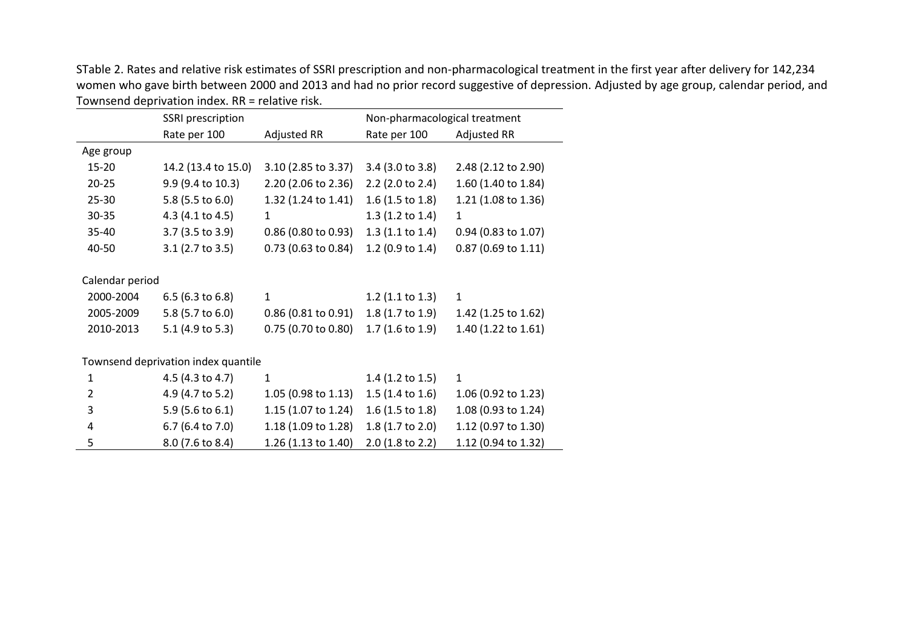STable 2. Rates and relative risk estimates of SSRI prescription and non-pharmacological treatment in the first year after delivery for 142,234 women who gave birth between 2000 and 2013 and had no prior record suggestive of depression. Adjusted by age group, calendar period, and Townsend deprivation index. RR = relative risk.

 $\sim$ 

 $\sim$ 

|                                     | SSRI prescription   |                       | Non-pharmacological treatment |                       |  |  |
|-------------------------------------|---------------------|-----------------------|-------------------------------|-----------------------|--|--|
|                                     | Rate per 100        | Adjusted RR           | Rate per 100                  | Adjusted RR           |  |  |
| Age group                           |                     |                       |                               |                       |  |  |
| 15-20                               | 14.2 (13.4 to 15.0) | 3.10 (2.85 to 3.37)   | 3.4 (3.0 to 3.8)              | 2.48 (2.12 to 2.90)   |  |  |
| $20 - 25$                           | 9.9 (9.4 to 10.3)   | 2.20 (2.06 to 2.36)   | 2.2 (2.0 to 2.4)              | 1.60 (1.40 to 1.84)   |  |  |
| 25-30                               | 5.8 (5.5 to 6.0)    | 1.32 (1.24 to 1.41)   | $1.6$ (1.5 to 1.8)            | 1.21 (1.08 to 1.36)   |  |  |
| 30-35                               | 4.3 (4.1 to 4.5)    | $\mathbf{1}$          | $1.3$ (1.2 to 1.4)            | 1                     |  |  |
| 35-40                               | 3.7 (3.5 to 3.9)    | $0.86$ (0.80 to 0.93) | 1.3(1.1 to 1.4)               | $0.94$ (0.83 to 1.07) |  |  |
| 40-50                               | $3.1$ (2.7 to 3.5)  | 0.73 (0.63 to 0.84)   | 1.2 (0.9 to 1.4)              | 0.87 (0.69 to 1.11)   |  |  |
|                                     |                     |                       |                               |                       |  |  |
| Calendar period                     |                     |                       |                               |                       |  |  |
| 2000-2004                           | $6.5$ (6.3 to 6.8)  | $\mathbf{1}$          | $1.2$ (1.1 to 1.3)            | $\mathbf{1}$          |  |  |
| 2005-2009                           | 5.8 (5.7 to 6.0)    | $0.86$ (0.81 to 0.91) | $1.8(1.7 \text{ to } 1.9)$    | 1.42 (1.25 to 1.62)   |  |  |
| 2010-2013                           | 5.1 (4.9 to 5.3)    | 0.75 (0.70 to 0.80)   | $1.7(1.6 \text{ to } 1.9)$    | 1.40 (1.22 to 1.61)   |  |  |
|                                     |                     |                       |                               |                       |  |  |
| Townsend deprivation index quantile |                     |                       |                               |                       |  |  |
| $\mathbf{1}$                        | 4.5 (4.3 to 4.7)    | 1                     | $1.4$ (1.2 to 1.5)            | $\mathbf{1}$          |  |  |
| $\overline{2}$                      | 4.9 (4.7 to 5.2)    | 1.05 (0.98 to 1.13)   | $1.5(1.4 \text{ to } 1.6)$    | 1.06 (0.92 to 1.23)   |  |  |
| 3                                   | 5.9 (5.6 to 6.1)    | 1.15 (1.07 to 1.24)   | $1.6$ (1.5 to 1.8)            | 1.08 (0.93 to 1.24)   |  |  |
| 4                                   | 6.7 (6.4 to 7.0)    | 1.18 (1.09 to 1.28)   | 1.8 (1.7 to 2.0)              | 1.12 (0.97 to 1.30)   |  |  |
| 5                                   | 8.0 (7.6 to 8.4)    | 1.26 (1.13 to 1.40)   | 2.0 (1.8 to 2.2)              | 1.12 (0.94 to 1.32)   |  |  |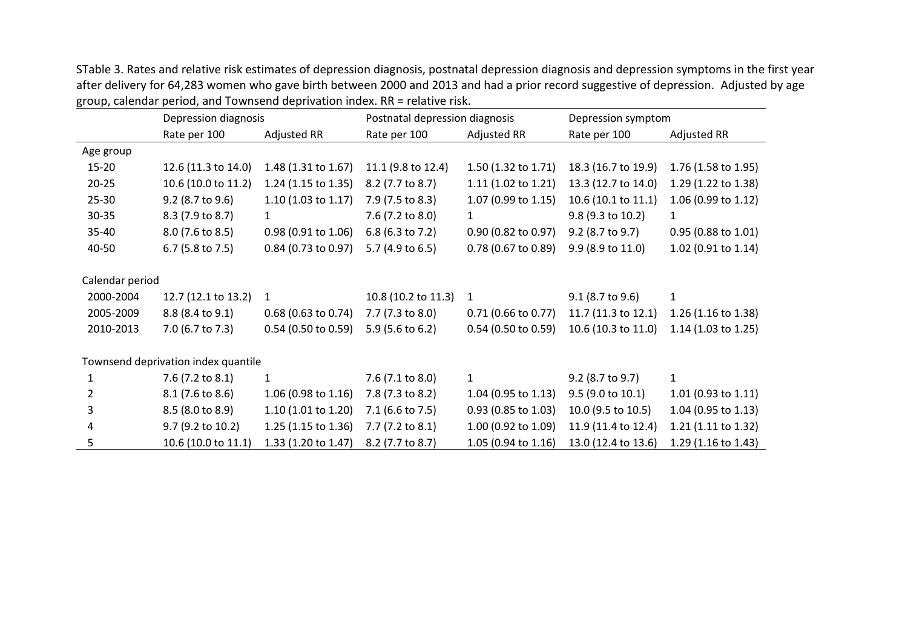STable 3. Rates and relative risk estimates of depression diagnosis, postnatal depression diagnosis and depression symptoms in the first year after delivery for 64,283 women who gave birth between 2000 and 2013 and had a prior record suggestive of depression. Adjusted by age group, calendar period, and Townsend deprivation index. RR = relative risk.

|                                     | Depression diagnosis |                               | Postnatal depression diagnosis |                       | Depression symptom  |                       |
|-------------------------------------|----------------------|-------------------------------|--------------------------------|-----------------------|---------------------|-----------------------|
|                                     | Rate per 100         | Adjusted RR                   | Rate per 100                   | Adjusted RR           | Rate per 100        | Adjusted RR           |
| Age group                           |                      |                               |                                |                       |                     |                       |
| $15 - 20$                           | 12.6 (11.3 to 14.0)  | 1.48 (1.31 to 1.67)           | 11.1 (9.8 to 12.4)             | 1.50 (1.32 to 1.71)   | 18.3 (16.7 to 19.9) | 1.76 (1.58 to 1.95)   |
| $20 - 25$                           | 10.6 (10.0 to 11.2)  | 1.24 (1.15 to 1.35)           | 8.2 (7.7 to 8.7)               | 1.11 (1.02 to 1.21)   | 13.3 (12.7 to 14.0) | 1.29 (1.22 to 1.38)   |
| $25 - 30$                           | 9.2 (8.7 to 9.6)     | $1.10$ (1.03 to 1.17)         | 7.9 (7.5 to 8.3)               | 1.07 (0.99 to 1.15)   | 10.6 (10.1 to 11.1) | 1.06 (0.99 to 1.12)   |
| $30 - 35$                           | 8.3 (7.9 to 8.7)     | $\mathbf{1}$                  | 7.6 (7.2 to 8.0)               | $\mathbf{1}$          | $9.8$ (9.3 to 10.2) | $\mathbf{1}$          |
| 35-40                               | 8.0 (7.6 to 8.5)     | $0.98(0.91 \text{ to } 1.06)$ | 6.8 (6.3 to 7.2)               | $0.90$ (0.82 to 0.97) | 9.2 (8.7 to 9.7)    | 0.95 (0.88 to 1.01)   |
| 40-50                               | 6.7 (5.8 to 7.5)     | 0.84 (0.73 to 0.97)           | 5.7 (4.9 to 6.5)               | 0.78 (0.67 to 0.89)   | 9.9 (8.9 to 11.0)   | 1.02 (0.91 to 1.14)   |
|                                     |                      |                               |                                |                       |                     |                       |
| Calendar period                     |                      |                               |                                |                       |                     |                       |
| 2000-2004                           | 12.7 (12.1 to 13.2)  | $\mathbf{1}$                  | 10.8 (10.2 to 11.3)            | $\mathbf{1}$          | $9.1$ (8.7 to 9.6)  | $\mathbf{1}$          |
| 2005-2009                           | 8.8 (8.4 to 9.1)     | $0.68$ (0.63 to 0.74)         | $7.7(7.3 \text{ to } 8.0)$     | $0.71$ (0.66 to 0.77) | 11.7 (11.3 to 12.1) | 1.26 (1.16 to 1.38)   |
| 2010-2013                           | 7.0 (6.7 to 7.3)     | $0.54$ (0.50 to 0.59)         | 5.9 (5.6 to 6.2)               | $0.54$ (0.50 to 0.59) | 10.6 (10.3 to 11.0) | $1.14$ (1.03 to 1.25) |
|                                     |                      |                               |                                |                       |                     |                       |
| Townsend deprivation index quantile |                      |                               |                                |                       |                     |                       |
| 1                                   | 7.6 (7.2 to 8.1)     | $\mathbf{1}$                  | 7.6 (7.1 to 8.0)               | $\mathbf{1}$          | 9.2 (8.7 to 9.7)    | $\mathbf{1}$          |
| $\overline{2}$                      | 8.1 (7.6 to 8.6)     | $1.06$ (0.98 to 1.16)         | 7.8 (7.3 to 8.2)               | $1.04$ (0.95 to 1.13) | $9.5$ (9.0 to 10.1) | 1.01 (0.93 to 1.11)   |
| 3                                   | 8.5 (8.0 to 8.9)     | 1.10 (1.01 to 1.20)           | 7.1 (6.6 to 7.5)               | 0.93 (0.85 to 1.03)   | 10.0 (9.5 to 10.5)  | 1.04 (0.95 to 1.13)   |
| 4                                   | 9.7 (9.2 to 10.2)    | 1.25 (1.15 to 1.36)           | 7.7 (7.2 to 8.1)               | 1.00 (0.92 to 1.09)   | 11.9 (11.4 to 12.4) | 1.21 (1.11 to 1.32)   |
| 5.                                  | 10.6 (10.0 to 11.1)  | 1.33 (1.20 to 1.47)           | 8.2 (7.7 to 8.7)               | 1.05 (0.94 to 1.16)   | 13.0 (12.4 to 13.6) | 1.29 (1.16 to 1.43)   |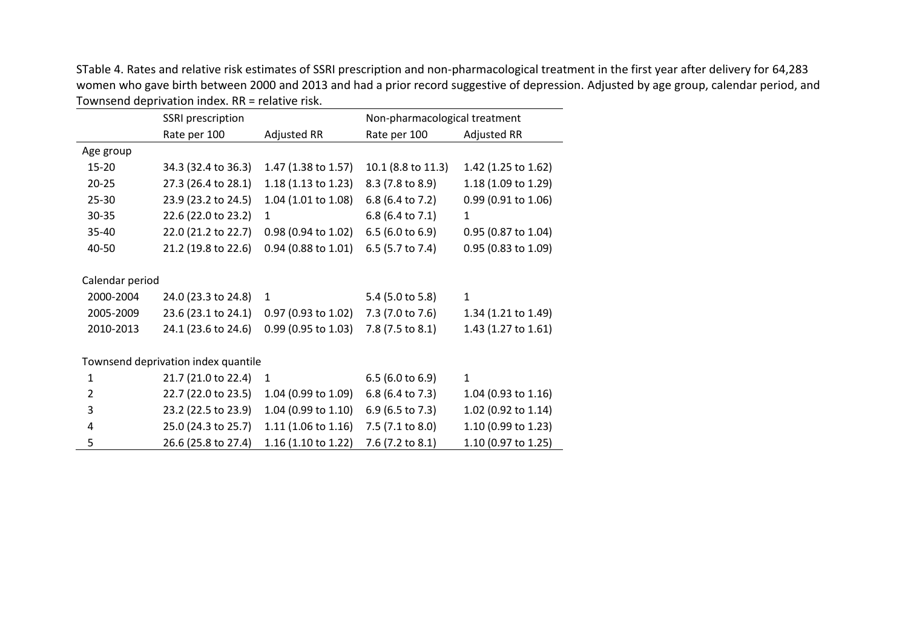STable 4. Rates and relative risk estimates of SSRI prescription and non-pharmacological treatment in the first year after delivery for 64,283 women who gave birth between 2000 and 2013 and had a prior record suggestive of depression. Adjusted by age group, calendar period, and Townsend deprivation index. RR = relative risk.  $\overline{\phantom{a}}$ 

|                                     | SSRI prescription   |                     | Non-pharmacological treatment |                     |  |
|-------------------------------------|---------------------|---------------------|-------------------------------|---------------------|--|
|                                     | Rate per 100        | Adjusted RR         | Rate per 100                  | Adjusted RR         |  |
| Age group                           |                     |                     |                               |                     |  |
| $15 - 20$                           | 34.3 (32.4 to 36.3) | 1.47 (1.38 to 1.57) | 10.1 (8.8 to 11.3)            | 1.42 (1.25 to 1.62) |  |
| $20 - 25$                           | 27.3 (26.4 to 28.1) | 1.18 (1.13 to 1.23) | 8.3 (7.8 to 8.9)              | 1.18 (1.09 to 1.29) |  |
| 25-30                               | 23.9 (23.2 to 24.5) | 1.04 (1.01 to 1.08) | 6.8 (6.4 to 7.2)              | 0.99 (0.91 to 1.06) |  |
| 30-35                               | 22.6 (22.0 to 23.2) | $\mathbf{1}$        | 6.8 (6.4 to 7.1)              | $\mathbf{1}$        |  |
| 35-40                               | 22.0 (21.2 to 22.7) | 0.98 (0.94 to 1.02) | 6.5 (6.0 to 6.9)              | 0.95 (0.87 to 1.04) |  |
| 40-50                               | 21.2 (19.8 to 22.6) | 0.94 (0.88 to 1.01) | 6.5 (5.7 to 7.4)              | 0.95 (0.83 to 1.09) |  |
|                                     |                     |                     |                               |                     |  |
| Calendar period                     |                     |                     |                               |                     |  |
| 2000-2004                           | 24.0 (23.3 to 24.8) | $\mathbf{1}$        | 5.4 (5.0 to 5.8)              | $\mathbf{1}$        |  |
| 2005-2009                           | 23.6 (23.1 to 24.1) | 0.97 (0.93 to 1.02) | 7.3 (7.0 to 7.6)              | 1.34 (1.21 to 1.49) |  |
| 2010-2013                           | 24.1 (23.6 to 24.6) | 0.99 (0.95 to 1.03) | 7.8 (7.5 to 8.1)              | 1.43 (1.27 to 1.61) |  |
|                                     |                     |                     |                               |                     |  |
| Townsend deprivation index quantile |                     |                     |                               |                     |  |
| $\mathbf{1}$                        | 21.7 (21.0 to 22.4) | $\mathbf{1}$        | $6.5$ (6.0 to 6.9)            | $\mathbf{1}$        |  |
| $\overline{2}$                      | 22.7 (22.0 to 23.5) | 1.04 (0.99 to 1.09) | 6.8 (6.4 to 7.3)              | 1.04 (0.93 to 1.16) |  |
| 3                                   | 23.2 (22.5 to 23.9) | 1.04 (0.99 to 1.10) | 6.9 (6.5 to 7.3)              | 1.02 (0.92 to 1.14) |  |
| 4                                   | 25.0 (24.3 to 25.7) | 1.11 (1.06 to 1.16) | 7.5 (7.1 to 8.0)              | 1.10 (0.99 to 1.23) |  |
| 5                                   | 26.6 (25.8 to 27.4) | 1.16 (1.10 to 1.22) | 7.6 (7.2 to 8.1)              | 1.10 (0.97 to 1.25) |  |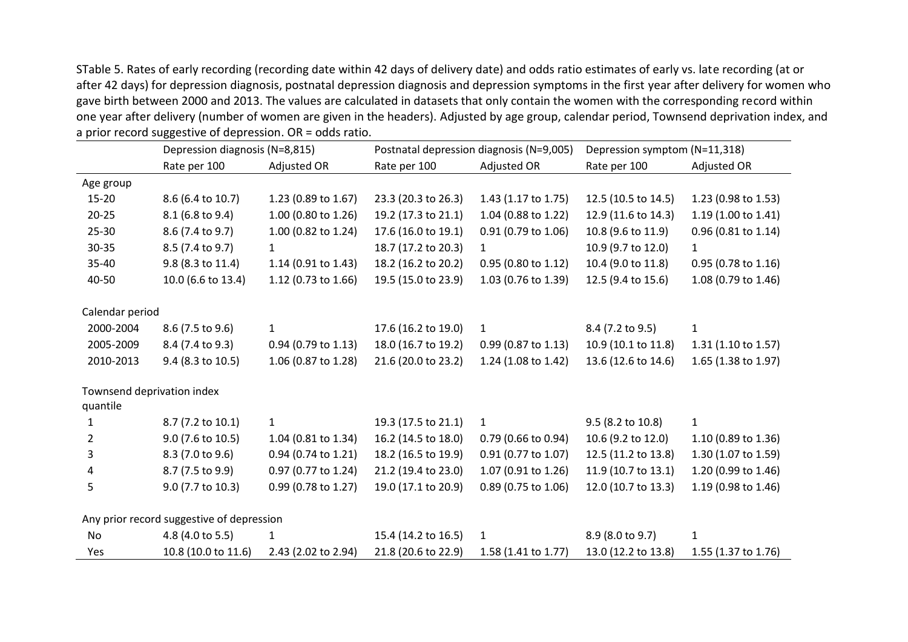STable 5. Rates of early recording (recording date within 42 days of delivery date) and odds ratio estimates of early vs. late recording (at or after 42 days) for depression diagnosis, postnatal depression diagnosis and depression symptoms in the first year after delivery for women who gave birth between 2000 and 2013. The values are calculated in datasets that only contain the women with the corresponding record within one year after delivery (number of women are given in the headers). Adjusted by age group, calendar period, Townsend deprivation index, and a prior record suggestive of depression. OR = odds ratio.  $\overline{a}$ 

|                            | Depression diagnosis (N=8,815)            |                     | Postnatal depression diagnosis (N=9,005) |                     | Depression symptom (N=11,318) |                     |
|----------------------------|-------------------------------------------|---------------------|------------------------------------------|---------------------|-------------------------------|---------------------|
|                            | Rate per 100                              | Adjusted OR         | Rate per 100                             | Adjusted OR         | Rate per 100                  | Adjusted OR         |
| Age group                  |                                           |                     |                                          |                     |                               |                     |
| $15 - 20$                  | 8.6 (6.4 to 10.7)                         | 1.23 (0.89 to 1.67) | 23.3 (20.3 to 26.3)                      | 1.43 (1.17 to 1.75) | 12.5 (10.5 to 14.5)           | 1.23 (0.98 to 1.53) |
| $20 - 25$                  | 8.1 (6.8 to 9.4)                          | 1.00 (0.80 to 1.26) | 19.2 (17.3 to 21.1)                      | 1.04 (0.88 to 1.22) | 12.9 (11.6 to 14.3)           | 1.19 (1.00 to 1.41) |
| $25 - 30$                  | 8.6 (7.4 to 9.7)                          | 1.00 (0.82 to 1.24) | 17.6 (16.0 to 19.1)                      | 0.91 (0.79 to 1.06) | 10.8 (9.6 to 11.9)            | 0.96 (0.81 to 1.14) |
| $30 - 35$                  | 8.5 (7.4 to 9.7)                          | $\mathbf{1}$        | 18.7 (17.2 to 20.3)                      | $\mathbf{1}$        | 10.9 (9.7 to 12.0)            | $\mathbf{1}$        |
| 35-40                      | 9.8 (8.3 to 11.4)                         | 1.14 (0.91 to 1.43) | 18.2 (16.2 to 20.2)                      | 0.95 (0.80 to 1.12) | 10.4 (9.0 to 11.8)            | 0.95 (0.78 to 1.16) |
| 40-50                      | 10.0 (6.6 to 13.4)                        | 1.12 (0.73 to 1.66) | 19.5 (15.0 to 23.9)                      | 1.03 (0.76 to 1.39) | 12.5 (9.4 to 15.6)            | 1.08 (0.79 to 1.46) |
|                            |                                           |                     |                                          |                     |                               |                     |
| Calendar period            |                                           |                     |                                          |                     |                               |                     |
| 2000-2004                  | 8.6 (7.5 to 9.6)                          | $\mathbf{1}$        | 17.6 (16.2 to 19.0)                      | 1                   | 8.4 (7.2 to 9.5)              | $\mathbf{1}$        |
| 2005-2009                  | 8.4 (7.4 to 9.3)                          | 0.94 (0.79 to 1.13) | 18.0 (16.7 to 19.2)                      | 0.99 (0.87 to 1.13) | 10.9 (10.1 to 11.8)           | 1.31 (1.10 to 1.57) |
| 2010-2013                  | 9.4 (8.3 to 10.5)                         | 1.06 (0.87 to 1.28) | 21.6 (20.0 to 23.2)                      | 1.24 (1.08 to 1.42) | 13.6 (12.6 to 14.6)           | 1.65 (1.38 to 1.97) |
|                            |                                           |                     |                                          |                     |                               |                     |
| Townsend deprivation index |                                           |                     |                                          |                     |                               |                     |
| quantile                   |                                           |                     |                                          |                     |                               |                     |
| 1                          | 8.7 (7.2 to 10.1)                         | $\mathbf{1}$        | 19.3 (17.5 to 21.1)                      | 1                   | 9.5 (8.2 to 10.8)             | $\mathbf{1}$        |
| $\overline{2}$             | 9.0 (7.6 to 10.5)                         | 1.04 (0.81 to 1.34) | 16.2 (14.5 to 18.0)                      | 0.79 (0.66 to 0.94) | 10.6 (9.2 to 12.0)            | 1.10 (0.89 to 1.36) |
| 3                          | 8.3 (7.0 to 9.6)                          | 0.94 (0.74 to 1.21) | 18.2 (16.5 to 19.9)                      | 0.91 (0.77 to 1.07) | 12.5 (11.2 to 13.8)           | 1.30 (1.07 to 1.59) |
| 4                          | 8.7 (7.5 to 9.9)                          | 0.97 (0.77 to 1.24) | 21.2 (19.4 to 23.0)                      | 1.07 (0.91 to 1.26) | 11.9 (10.7 to 13.1)           | 1.20 (0.99 to 1.46) |
| 5                          | 9.0 (7.7 to 10.3)                         | 0.99 (0.78 to 1.27) | 19.0 (17.1 to 20.9)                      | 0.89 (0.75 to 1.06) | 12.0 (10.7 to 13.3)           | 1.19 (0.98 to 1.46) |
|                            |                                           |                     |                                          |                     |                               |                     |
|                            | Any prior record suggestive of depression |                     |                                          |                     |                               |                     |
| No                         | 4.8 (4.0 to 5.5)                          | 1                   | 15.4 (14.2 to 16.5)                      | $\mathbf{1}$        | 8.9 (8.0 to 9.7)              | $\mathbf{1}$        |
| Yes                        | 10.8 (10.0 to 11.6)                       | 2.43 (2.02 to 2.94) | 21.8 (20.6 to 22.9)                      | 1.58 (1.41 to 1.77) | 13.0 (12.2 to 13.8)           | 1.55 (1.37 to 1.76) |